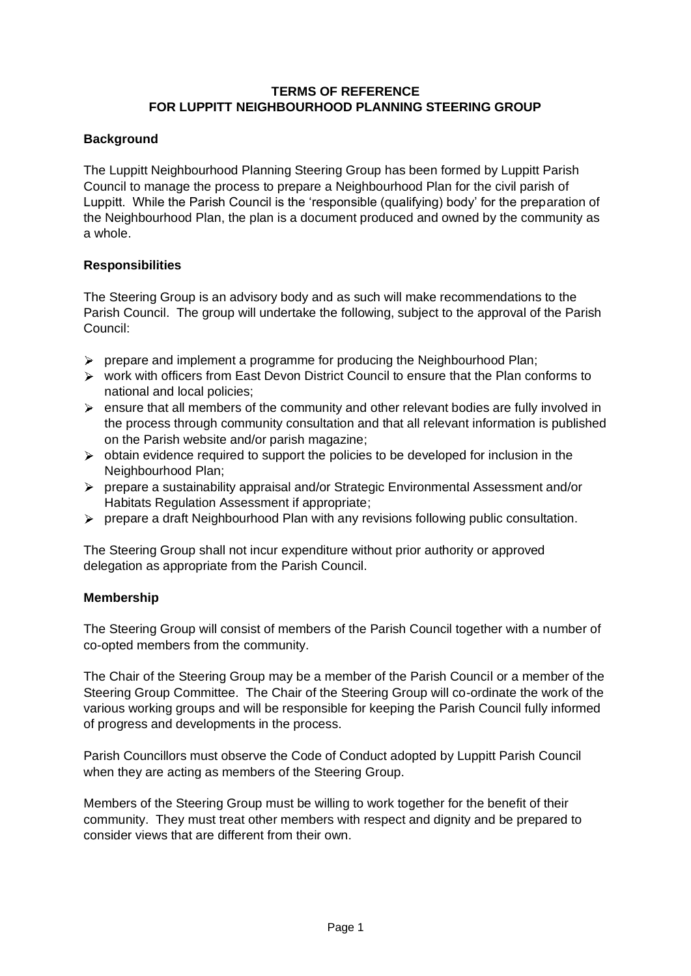# **TERMS OF REFERENCE FOR LUPPITT NEIGHBOURHOOD PLANNING STEERING GROUP**

# **Background**

The Luppitt Neighbourhood Planning Steering Group has been formed by Luppitt Parish Council to manage the process to prepare a Neighbourhood Plan for the civil parish of Luppitt. While the Parish Council is the 'responsible (qualifying) body' for the preparation of the Neighbourhood Plan, the plan is a document produced and owned by the community as a whole.

## **Responsibilities**

The Steering Group is an advisory body and as such will make recommendations to the Parish Council. The group will undertake the following, subject to the approval of the Parish Council:

- $\triangleright$  prepare and implement a programme for producing the Neighbourhood Plan;
- work with officers from East Devon District Council to ensure that the Plan conforms to national and local policies;
- $\triangleright$  ensure that all members of the community and other relevant bodies are fully involved in the process through community consultation and that all relevant information is published on the Parish website and/or parish magazine;
- $\triangleright$  obtain evidence required to support the policies to be developed for inclusion in the Neighbourhood Plan;
- prepare a sustainability appraisal and/or Strategic Environmental Assessment and/or Habitats Regulation Assessment if appropriate;
- prepare a draft Neighbourhood Plan with any revisions following public consultation.

The Steering Group shall not incur expenditure without prior authority or approved delegation as appropriate from the Parish Council.

## **Membership**

The Steering Group will consist of members of the Parish Council together with a number of co-opted members from the community.

The Chair of the Steering Group may be a member of the Parish Council or a member of the Steering Group Committee. The Chair of the Steering Group will co-ordinate the work of the various working groups and will be responsible for keeping the Parish Council fully informed of progress and developments in the process.

Parish Councillors must observe the Code of Conduct adopted by Luppitt Parish Council when they are acting as members of the Steering Group.

Members of the Steering Group must be willing to work together for the benefit of their community. They must treat other members with respect and dignity and be prepared to consider views that are different from their own.